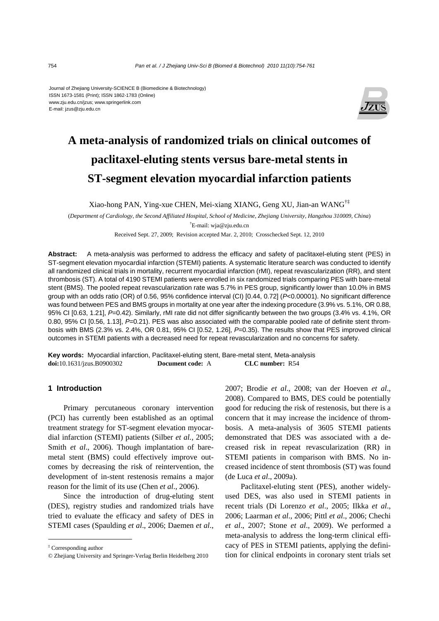#### Journal of Zhejiang University-SCIENCE B (Biomedicine & Biotechnology) ISSN 1673-1581 (Print); ISSN 1862-1783 (Online) www.zju.edu.cn/jzus; www.springerlink.com E-mail: jzus@zju.edu.cn



# **A meta-analysis of randomized trials on clinical outcomes of paclitaxel-eluting stents versus bare-metal stents in ST-segment elevation myocardial infarction patients**

Xiao-hong PAN, Ying-xue CHEN, Mei-xiang XIANG, Geng XU, Jian-an WANG†‡

(*Department of Cardiology, the Second Affiliated Hospital, School of Medicine, Zhejiang University, Hangzhou 310009, China*) † E-mail: wja@zju.edu.cn

Received Sept. 27, 2009; Revision accepted Mar. 2, 2010; Crosschecked Sept. 12, 2010

**Abstract:** A meta-analysis was performed to address the efficacy and safety of paclitaxel-eluting stent (PES) in ST-segment elevation myocardial infarction (STEMI) patients. A systematic literature search was conducted to identify all randomized clinical trials in mortality, recurrent myocardial infarction (rMI), repeat revascularization (RR), and stent thrombosis (ST). A total of 4190 STEMI patients were enrolled in six randomized trials comparing PES with bare-metal stent (BMS). The pooled repeat revascularization rate was 5.7% in PES group, significantly lower than 10.0% in BMS group with an odds ratio (OR) of 0.56, 95% confidence interval (CI) [0.44, 0.72] (*P*<0.00001). No significant difference was found between PES and BMS groups in mortality at one year after the indexing procedure (3.9% vs. 5.1%, OR 0.88, 95% CI [0.63, 1.21], *P*=0.42). Similarly, rMI rate did not differ significantly between the two groups (3.4% vs. 4.1%, OR 0.80, 95% CI [0.56, 1.13], *P*=0.21). PES was also associated with the comparable pooled rate of definite stent thrombosis with BMS (2.3% vs. 2.4%, OR 0.81, 95% CI [0.52, 1.26], *P*=0.35). The results show that PES improved clinical outcomes in STEMI patients with a decreased need for repeat revascularization and no concerns for safety.

**Key words:** Myocardial infarction, Paclitaxel-eluting stent, Bare-metal stent, Meta-analysis **doi:**10.1631/jzus.B0900302 **Document code:** A **CLC number:** R54

# **1 Introduction**

Primary percutaneous coronary intervention (PCI) has currently been established as an optimal treatment strategy for ST-segment elevation myocardial infarction (STEMI) patients (Silber *et al.*, 2005; Smith *et al*., 2006). Though implantation of baremetal stent (BMS) could effectively improve outcomes by decreasing the risk of reintervention, the development of in-stent restenosis remains a major reason for the limit of its use (Chen *et al*., 2006).

Since the introduction of drug-eluting stent (DES), registry studies and randomized trials have tried to evaluate the efficacy and safety of DES in STEMI cases (Spaulding *et al*., 2006; Daemen *et al*.,

2007; Brodie *et al*., 2008; van der Hoeven *et al*., 2008). Compared to BMS, DES could be potentially good for reducing the risk of restenosis, but there is a concern that it may increase the incidence of thrombosis. A meta-analysis of 3605 STEMI patients demonstrated that DES was associated with a decreased risk in repeat revascularization (RR) in STEMI patients in comparison with BMS. No increased incidence of stent thrombosis (ST) was found (de Luca *et al*., 2009a).

Paclitaxel-eluting stent (PES), another widelyused DES, was also used in STEMI patients in recent trials (Di Lorenzo *et al*., 2005; Ilkka *et al*., 2006; Laarman *et al*., 2006; Pittl *et al*., 2006; Chechi *et al*., 2007; Stone *et al*., 2009). We performed a meta-analysis to address the long-term clinical efficacy of PES in STEMI patients, applying the definition for clinical endpoints in coronary stent trials set

<sup>‡</sup> Corresponding author

<sup>©</sup> Zhejiang University and Springer-Verlag Berlin Heidelberg 2010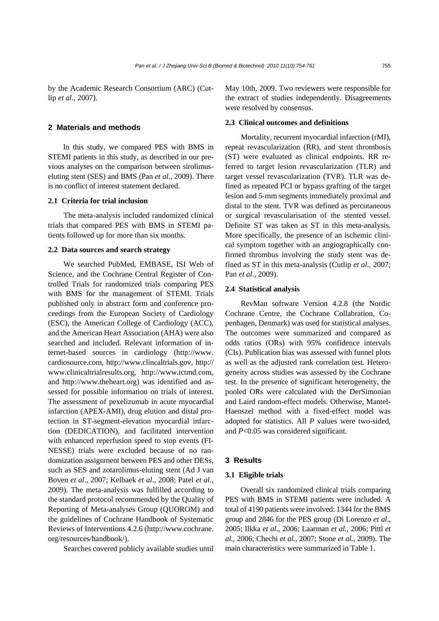by the Academic Research Consortium (ARC) (Cutlip *et al*., 2007).

# **2 Materials and methods**

In this study, we compared PES with BMS in STEMI patients in this study, as described in our previous analyses on the comparison between sirolimuseluting stent (SES) and BMS (Pan *et al*., 2009). There is no conflict of interest statement declared.

# **2.1 Criteria for trial inclusion**

The meta-analysis included randomized clinical trials that compared PES with BMS in STEMI patients followed up for more than six months.

#### **2.2 Data sources and search strategy**

We searched PubMed, EMBASE, ISI Web of Science, and the Cochrane Central Register of Controlled Trials for randomized trials comparing PES with BMS for the management of STEMI. Trials published only in abstract form and conference proceedings from the European Society of Cardiology (ESC), the American College of Cardiology (ACC), and the American Heart Association (AHA) were also searched and included. Relevant information of internet-based sources in cardiology (http://www. cardiosource.com, http://www.clincaltrials.gov, http:// www.clinicaltrialresults.org, http://www.tctmd.com, and http://www.theheart.org) was identified and assessed for possible information on trials of interest. The assessment of pexelizumab in acute myocardial infarction (APEX-AMI), drug elution and distal protection in ST-segment-elevation myocardial infarction (DEDICATION), and facilitated intervention with enhanced reperfusion speed to stop events (FI-NESSE) trials were excluded because of no randomization assignment between PES and other DESs, such as SES and zotarolimus-eluting stent (Ad J van Boven *et al*., 2007; Kelbaek *et al*., 2008; Patel *et al*., 2009). The meta-analysis was fulfilled according to the standard protocol recommended by the Quality of Reporting of Meta-analyses Group (QUOROM) and the guidelines of Cochrane Handbook of Systematic Reviews of Interventions 4.2.6 (http://www.cochrane. org/resources/handbook/).

Searches covered publicly available studies until

May 10th, 2009. Two reviewers were responsible for the extract of studies independently. Disagreements were resolved by consensus.

#### **2.3 Clinical outcomes and definitions**

Mortality, recurrent myocardial infarction (rMI), repeat revascularization (RR), and stent thrombosis (ST) were evaluated as clinical endpoints. RR referred to target lesion revascularization (TLR) and target vessel revascularization (TVR). TLR was defined as repeated PCI or bypass grafting of the target lesion and 5-mm segments immediately proximal and distal to the stent. TVR was defined as percutaneous or surgical revascularisation of the stented vessel. Definite ST was taken as ST in this meta-analysis. More specifically, the presence of an ischemic clinical symptom together with an angiographically confirmed thrombus involving the study stent was defined as ST in this meta-analysis (Cutlip *et al*., 2007; Pan *et al*., 2009).

## **2.4 Statistical analysis**

RevMan software Version 4.2.8 (the Nordic Cochrane Centre, the Cochrane Collabration, Copenhagen, Denmark) was used for statistical analyses. The outcomes were summarized and compared as odds ratios (ORs) with 95% confidence intervals (CIs). Publication bias was assessed with funnel plots as well as the adjusted rank correlation test. Heterogeneity across studies was assessed by the Cochrane test. In the presence of significant heterogeneity, the pooled ORs were calculated with the DerSimonian and Laird random-effect models. Otherwise, Mantel-Haenszel method with a fixed-effect model was adopted for statistics. All *P* values were two-sided, and *P*<0.05 was considered significant.

#### **3 Results**

#### **3.1 Eligible trials**

Overall six randomized clinical trials comparing PES with BMS in STEMI patients were included. A total of 4190 patients were involved: 1344 for the BMS group and 2846 for the PES group (Di Lorenzo *et al*., 2005; Ilkka *et al*., 2006; Laarman *et al.*, 2006; Pittl *et al.*, 2006; Chechi *et al.*, 2007; Stone *et al.*, 2009). The main characteristics were summarized in Table 1.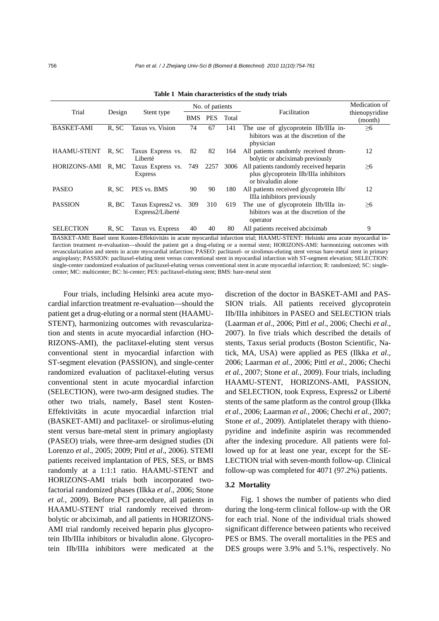| Trial              | Design | Stent type                              | No. of patients |            |       |                                                                                                       | Medication of             |
|--------------------|--------|-----------------------------------------|-----------------|------------|-------|-------------------------------------------------------------------------------------------------------|---------------------------|
|                    |        |                                         | <b>BMS</b>      | <b>PES</b> | Total | Facilitation                                                                                          | thienopyridine<br>(month) |
| <b>BASKET-AMI</b>  | R. SC  | Taxus vs. Vision                        | 74              | 67         | 141   | The use of glycoprotein IIb/IIIa in-<br>hibitors was at the discretion of the<br>physician            | $\geq 6$                  |
| <b>HAAMU-STENT</b> | R, SC  | Taxus Express vs.<br>Liberté            | 82              | 82         | 164   | All patients randomly received throm-<br>bolytic or abciximab previously                              | 12                        |
| HORIZONS-AMI       | R, MC  | Taxus Express vs. 749<br><b>Express</b> |                 | 2257       | 3006  | All patients randomly received heparin<br>plus glycoprotein IIb/IIIa inhibitors<br>or bivaludin alone | $\geq 6$                  |
| <b>PASEO</b>       | R. SC  | PES vs. BMS                             | 90              | 90         | 180   | All patients received glycoprotein IIb/<br>IIIa inhibitors previously                                 | 12                        |
| <b>PASSION</b>     | R, BC  | Taxus Express2 vs.<br>Express2/Liberté  | 309             | 310        | 619   | The use of glycoprotein IIb/IIIa in-<br>hibitors was at the discretion of the<br>operator             | $\geq 6$                  |
| <b>SELECTION</b>   | R, SC  | Taxus vs. Express                       | 40              | 40         | 80    | All patients received abciximab                                                                       | 9                         |

**Table 1 Main characteristics of the study trials** 

BASKET-AMI: Basel stent Kosten-Effektivitäts in acute myocardial infarction trial; HAAMU-STENT: Helsinki area acute myocardial infarction treatment re-evaluation—should the patient get a drug-eluting or a normal stent; HORIZONS-AMI: harmonizing outcomes with revascularization and stents in acute myocardial infarction; PASEO: paclitaxel- or sirolimus-eluting stent versus bare-metal stent in primary angioplasty; PASSION: paclitaxel-eluting stent versus conventional stent in myocardial infarction with ST-segment elevation; SELECTION: single-center randomized evaluation of paclitaxel-eluting versus conventional stent in acute myocardial infarction; R: randomized; SC: singlecenter; MC: multicenter; BC: bi-center; PES: paclitaxel-eluting stent; BMS: bare-metal stent

Four trials, including Helsinki area acute myocardial infarction treatment re-evaluation—should the patient get a drug-eluting or a normal stent (HAAMU-STENT), harmonizing outcomes with revascularization and stents in acute myocardial infarction (HO-RIZONS-AMI), the paclitaxel-eluting stent versus conventional stent in myocardial infarction with ST-segment elevation (PASSION), and single-center randomized evaluation of paclitaxel-eluting versus conventional stent in acute myocardial infarction (SELECTION), were two-arm designed studies. The other two trials, namely, Basel stent Kosten-Effektivitäts in acute myocardial infarction trial (BASKET-AMI) and paclitaxel- or sirolimus-eluting stent versus bare-metal stent in primary angioplasty (PASEO) trials, were three-arm designed studies (Di Lorenzo *et al*., 2005; 2009; Pittl *et al*., 2006). STEMI patients received implantation of PES, SES, or BMS randomly at a 1:1:1 ratio. HAAMU-STENT and HORIZONS-AMI trials both incorporated twofactorial randomized phases (Ilkka *et al*., 2006; Stone *et al.*, 2009). Before PCI procedure, all patients in HAAMU-STENT trial randomly received thrombolytic or abciximab, and all patients in HORIZONS-AMI trial randomly received heparin plus glycoprotein IIb/IIIa inhibitors or bivaludin alone. Glycoprotein IIb/IIIa inhibitors were medicated at the

discretion of the doctor in BASKET-AMI and PAS-SION trials. All patients received glycoprotein IIb/IIIa inhibitors in PASEO and SELECTION trials (Laarman *et al*., 2006; Pittl *et al*., 2006; Chechi *et al*., 2007). In five trials which described the details of stents, Taxus serial products (Boston Scientific, Natick, MA, USA) were applied as PES (Ilkka *et al*., 2006; Laarman *et al.*, 2006; Pittl *et al.*, 2006; Chechi *et al.*, 2007; Stone *et al.*, 2009). Four trials, including HAAMU-STENT, HORIZONS-AMI, PASSION, and SELECTION, took Express, Express2 or Liberté stents of the same platform as the control group (Ilkka *et al*., 2006; Laarman *et al.*, 2006; Chechi *et al.*, 2007; Stone *et al.*, 2009). Antiplatelet therapy with thienopyridine and indefinite aspirin was recommended after the indexing procedure. All patients were followed up for at least one year, except for the SE-LECTION trial with seven-month follow-up. Clinical follow-up was completed for 4071 (97.2%) patients.

#### **3.2 Mortality**

Fig. 1 shows the number of patients who died during the long-term clinical follow-up with the OR for each trial. None of the individual trials showed significant difference between patients who received PES or BMS. The overall mortalities in the PES and DES groups were 3.9% and 5.1%, respectively. No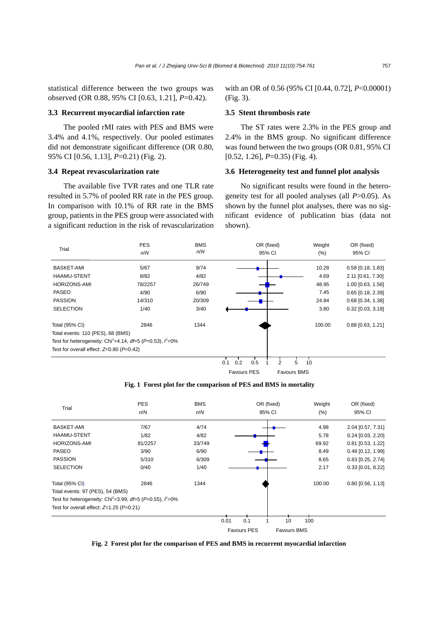statistical difference between the two groups was observed (OR 0.88, 95% CI [0.63, 1.21], *P*=0.42).

#### **3.3 Recurrent myocardial infarction rate**

The pooled rMI rates with PES and BMS were 3.4% and 4.1%, respectively. Our pooled estimates did not demonstrate significant difference (OR 0.80, 95% CI [0.56, 1.13], *P*=0.21) (Fig. 2).

#### **3.4 Repeat revascularization rate**

The available five TVR rates and one TLR rate resulted in 5.7% of pooled RR rate in the PES group. In comparison with 10.1% of RR rate in the BMS group, patients in the PES group were associated with a significant reduction in the risk of revascularization

with an OR of 0.56 (95% CI [0.44, 0.72], *P*<0.00001) (Fig. 3).

#### **3.5 Stent thrombosis rate**

The ST rates were 2.3% in the PES group and 2.4% in the BMS group. No significant difference was found between the two groups (OR 0.81, 95% CI [0.52, 1.26], *P*=0.35) (Fig. 4).

#### **3.6 Heterogeneity test and funnel plot analysis**

No significant results were found in the heterogeneity test for all pooled analyses (all *P*>0.05). As shown by the funnel plot analyses, there was no significant evidence of publication bias (data not shown).



Favours PES Favours BMS

**Fig. 1 Forest plot for the comparison of PES and BMS in mortality** 

|                                                | <b>PES</b>                                                                   | <b>BMS</b> |        | OR (fixed)         |                    | Weight | OR (fixed)              |
|------------------------------------------------|------------------------------------------------------------------------------|------------|--------|--------------------|--------------------|--------|-------------------------|
| Trial                                          | n/N                                                                          | n/N        | 95% CI |                    |                    | (%)    | 95% CI                  |
| <b>BASKET-AMI</b>                              | 7/67                                                                         | 4/74       |        |                    |                    | 4.98   | 2.04 [0.57, 7.31]       |
| <b>HAAMU-STENT</b>                             | 1/82                                                                         | 4/82       |        |                    |                    | 5.78   | $0.24$ [0.03, 2.20]     |
| <b>HORIZONS-AMI</b>                            | 81/2257                                                                      | 33/749     |        |                    |                    | 69.92  | $0.81$ [0.53, 1.22]     |
| <b>PASEO</b>                                   | 3/90                                                                         | 6/90       |        |                    |                    | 8.49   | $0.48$ [0.12, 1.99]     |
| <b>PASSION</b>                                 | 5/310                                                                        | 6/309      |        |                    |                    | 8.65   | $0.83$ [0.25, 2.74]     |
| <b>SELECTION</b>                               | 0/40                                                                         | 1/40       |        |                    |                    | 2.17   | $0.33$ [0.01, 8.22]     |
| Total (95% CI)                                 | 2846                                                                         | 1344       |        |                    |                    | 100.00 | $0.80$ [ $0.56$ , 1.13] |
| Total events: 97 (PES), 54 (BMS)               |                                                                              |            |        |                    |                    |        |                         |
|                                                | Test for heterogeneity: Chi <sup>2</sup> =3.99, df=5 (P=0.55), $\hat{f}$ =0% |            |        |                    |                    |        |                         |
| Test for overall effect: $Z=1.25$ ( $P=0.21$ ) |                                                                              |            |        |                    |                    |        |                         |
|                                                |                                                                              |            | 0.01   | 0.1                | 10                 | 100    |                         |
|                                                |                                                                              |            |        | <b>Favours PES</b> | <b>Favours BMS</b> |        |                         |

**Fig. 2 Forest plot for the comparison of PES and BMS in recurrent myocardial infarction**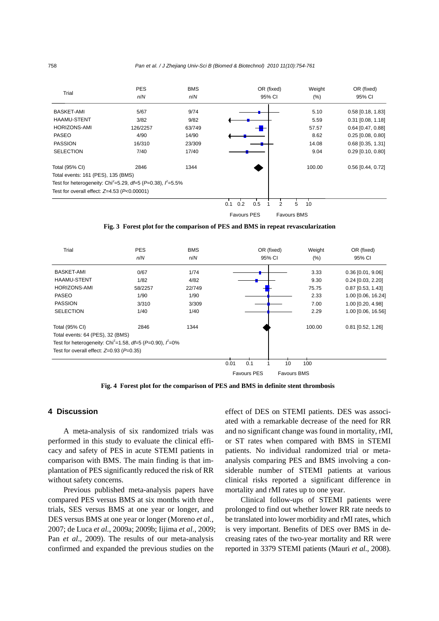

**Fig. 3 Forest plot for the comparison of PES and BMS in repeat revascularization** 



**Fig. 4 Forest plot for the comparison of PES and BMS in definite stent thrombosis** 

#### **4 Discussion**

A meta-analysis of six randomized trials was performed in this study to evaluate the clinical efficacy and safety of PES in acute STEMI patients in comparison with BMS. The main finding is that implantation of PES significantly reduced the risk of RR without safety concerns.

Previous published meta-analysis papers have compared PES versus BMS at six months with three trials, SES versus BMS at one year or longer, and DES versus BMS at one year or longer (Moreno *et al.*, 2007; de Luca *et al.*, 2009a; 2009b; Iijima *et al.*, 2009; Pan *et al*., 2009). The results of our meta-analysis confirmed and expanded the previous studies on the

effect of DES on STEMI patients. DES was associated with a remarkable decrease of the need for RR and no significant change was found in mortality, rMI, or ST rates when compared with BMS in STEMI patients. No individual randomized trial or metaanalysis comparing PES and BMS involving a considerable number of STEMI patients at various clinical risks reported a significant difference in mortality and rMI rates up to one year.

Clinical follow-ups of STEMI patients were prolonged to find out whether lower RR rate needs to be translated into lower morbidity and rMI rates, which is very important. Benefits of DES over BMS in decreasing rates of the two-year mortality and RR were reported in 3379 STEMI patients (Mauri *et al.*, 2008).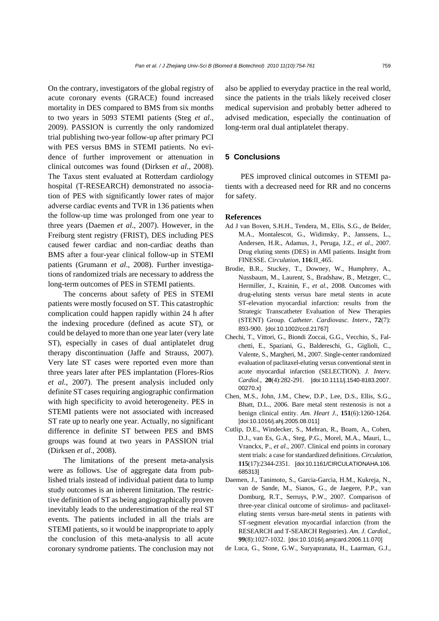On the contrary, investigators of the global registry of acute coronary events (GRACE) found increased mortality in DES compared to BMS from six months to two years in 5093 STEMI patients (Steg *et al*., 2009). PASSION is currently the only randomized trial publishing two-year follow-up after primary PCI with PES versus BMS in STEMI patients. No evidence of further improvement or attenuation in clinical outcomes was found (Dirksen *et al*., 2008). The Taxus stent evaluated at Rotterdam cardiology hospital (T-RESEARCH) demonstrated no association of PES with significantly lower rates of major adverse cardiac events and TVR in 136 patients when the follow-up time was prolonged from one year to three years (Daemen *et al*., 2007). However, in the Freiburg stent registry (FRIST), DES including PES caused fewer cardiac and non-cardiac deaths than BMS after a four-year clinical follow-up in STEMI patients (Grumann *et al*., 2008). Further investigations of randomized trials are necessary to address the long-term outcomes of PES in STEMI patients.

The concerns about safety of PES in STEMI patients were mostly focused on ST. This catastrophic complication could happen rapidly within 24 h after the indexing procedure (defined as acute ST), or could be delayed to more than one year later (very late ST), especially in cases of dual antiplatelet drug therapy discontinuation (Jaffe and Strauss, 2007). Very late ST cases were reported even more than three years later after PES implantation (Flores-Ríos *et al.*, 2007). The present analysis included only definite ST cases requiring angiographic confirmation with high specificity to avoid heterogeneity. PES in STEMI patients were not associated with increased ST rate up to nearly one year. Actually, no significant difference in definite ST between PES and BMS groups was found at two years in PASSION trial (Dirksen *et al.*, 2008).

The limitations of the present meta-analysis were as follows. Use of aggregate data from published trials instead of individual patient data to lump study outcomes is an inherent limitation. The restrictive definition of ST as being angiographically proven inevitably leads to the underestimation of the real ST events. The patients included in all the trials are STEMI patients, so it would be inappropriate to apply the conclusion of this meta-analysis to all acute coronary syndrome patients. The conclusion may not also be applied to everyday practice in the real world, since the patients in the trials likely received closer medical supervision and probably better adhered to advised medication, especially the continuation of long-term oral dual antiplatelet therapy.

# **5 Conclusions**

PES improved clinical outcomes in STEMI patients with a decreased need for RR and no concerns for safety.

#### **References**

- Ad J van Boven, S.H.H., Tendera, M., Ellis, S.G., de Belder, M.A., Montalescot, G., Widimsky, P., Janssens, L., Andersen, H.R., Adamus, J., Peruga, J.Z., *et al*., 2007. Drug eluting stents (DES) in AMI patients. Insight from FINESSE. *Circulation*, **116**:II\_465.
- Brodie, B.R., Stuckey, T., Downey, W., Humphrey, A., Nussbaum, M., Laurent, S., Bradshaw, B., Metzger, C., Hermiller, J., Krainin, F., *et al*., 2008. Outcomes with drug-eluting stents versus bare metal stents in acute ST-elevation myocardial infarction: results from the Strategic Transcatheter Evaluation of New Therapies (STENT) Group. *Catheter. Cardiovasc. Interv.*, **72**(7): 893-900. [doi:10.1002/ccd.21767]
- Chechi, T., Vittori, G., Biondi Zoccai, G.G., Vecchio, S., Falchetti, E., Spaziani, G., Baldereschi, G., Giglioli, C., Valente, S., Margheri, M., 2007. Single-center randomized evaluation of paclitaxel-eluting versus conventional stent in acute myocardial infarction (SELECTION). *J. Interv. Cardiol.*, **20**(4):282-291. [doi:10.1111/j.1540-8183.2007. 00270.x]
- Chen, M.S., John, J.M., Chew, D.P., Lee, D.S., Ellis, S.G., Bhatt, D.L., 2006. Bare metal stent restenosis is not a benign clinical entity. *Am. Heart J.*, **151**(6):1260-1264. [doi:10.1016/j.ahj.2005.08.011]
- Cutlip, D.E., Windecker, S., Mehran, R., Boam, A., Cohen, D.J., van Es, G.A., Steg, P.G., Morel, M.A., Mauri, L., Vranckx, P., *et al*., 2007. Clinical end points in coronary stent trials: a case for standardized definitions. *Circulation*, **115**(17):2344-2351. [doi:10.1161/CIRCULATIONAHA.106. 685313]
- Daemen, J., Tanimoto, S., Garcia-Garcia, H.M., Kukreja, N., van de Sande, M., Sianos, G., de Jaegere, P.P., van Domburg, R.T., Serruys, P.W., 2007. Comparison of three-year clinical outcome of sirolimus- and paclitaxeleluting stents versus bare-metal stents in patients with ST-segment elevation myocardial infarction (from the RESEARCH and T-SEARCH Registries). *Am. J. Cardiol.*, **99**(8):1027-1032. [doi:10.1016/j.amjcard.2006.11.070]
- de Luca, G., Stone, G.W., Suryapranata, H., Laarman, G.J.,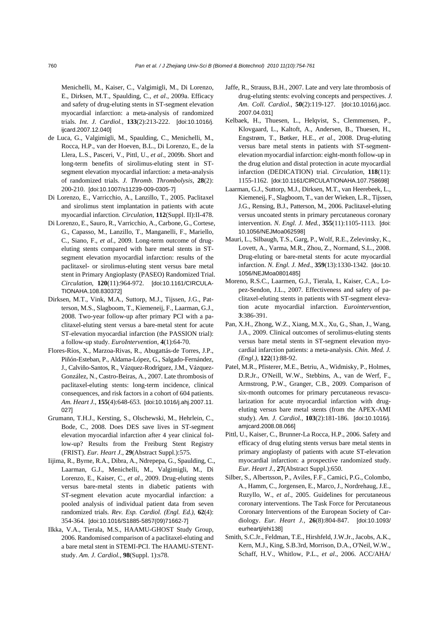Menichelli, M., Kaiser, C., Valgimigli, M., Di Lorenzo, E., Dirksen, M.T., Spaulding, C., *et al*., 2009a. Efficacy and safety of drug-eluting stents in ST-segment elevation myocardial infarction: a meta-analysis of randomized trials. *Int. J. Cardiol.*, **133**(2):213-222. [doi:10.1016/j. ijcard.2007.12.040]

- de Luca, G., Valgimigli, M., Spaulding, C., Menichelli, M., Rocca, H.P., van der Hoeven, B.L., Di Lorenzo, E., de la Llera, L.S., Pasceri, V., Pittl, U., *et al*., 2009b. Short and long-term benefits of sirolimus-eluting stent in STsegment elevation myocardial infarction: a meta-analysis of randomized trials. *J. Thromb. Thrombolysis*, **28**(2): 200-210. [doi:10.1007/s11239-009-0305-7]
- Di Lorenzo, E., Varricchio, A., Lanzillo, T., 2005. Paclitaxel and sirolimus stent implantation in patients with acute myocardial infarction. *Circulation*, **112**(Suppl. II):II-478.
- Di Lorenzo, E., Sauro, R., Varricchio, A., Carbone, G., Cortese, G., Capasso, M., Lanzillo, T., Manganelli, F., Mariello, C., Siano, F., *et al*., 2009. Long-term outcome of drugeluting stents compared with bare metal stents in STsegment elevation myocardial infarction: results of the paclitaxel- or sirolimus-eluting stent versus bare metal stent in Primary Angioplasty (PASEO) Randomized Trial. *Circulation*, **120**(11):964-972. [doi:10.1161/CIRCULA-TIONAHA.108.830372]
- Dirksen, M.T., Vink, M.A., Suttorp, M.J., Tijssen, J.G., Patterson, M.S., Slagboom, T., Kiemeneij, F., Laarman, G.J., 2008. Two-year follow-up after primary PCI with a paclitaxel-eluting stent versus a bare-metal stent for acute ST-elevation myocardial infarction (the PASSION trial): a follow-up study. *EuroIntervention*, **4**(1):64-70.
- Flores-Ríos, X., Marzoa-Rivas, R., Abugattás-de Torres, J.P., Piñón-Esteban, P., Aldama-López, G., Salgado-Fernández, J., Calviño-Santos, R., Vázquez-Rodríguez, J.M., Vázquez-González, N., Castro-Beiras, A., 2007. Late thrombosis of paclitaxel-eluting stents: long-term incidence, clinical consequences, and risk factors in a cohort of 604 patients. *Am. Heart J.*, **155**(4):648-653. [doi:10.1016/j.ahj.2007.11. 027]
- Grumann, T.H.J., Kersting, S., Olschewski, M., Hehrlein, C., Bode, C., 2008. Does DES save lives in ST-segment elevation myocardial infarction after 4 year clinical follow-up? Results from the Freiburg Stent Registry (FRIST). *Eur. Heart J.*, **29**(Abstract Suppl.):575.
- Iijima, R., Byrne, R.A., Dibra, A., Ndrepepa, G., Spaulding, C., Laarman, G.J., Menichelli, M., Valgimigli, M., Di Lorenzo, E., Kaiser, C., *et al*., 2009. Drug-eluting stents versus bare-metal stents in diabetic patients with ST-segment elevation acute myocardial infarction: a pooled analysis of individual patient data from seven randomized trials. *Rev. Esp. Cardiol. (Engl. Ed.)*, **62**(4): 354-364. [doi:10.1016/S1885-5857(09)71662-7]
- Ilkka, V.A., Tierala, M.S., HAAMU-GHOST Study Group, 2006. Randomised comparison of a paclitaxel-eluting and a bare metal stent in STEMI-PCI. The HAAMU-STENTstudy. *Am. J. Cardiol.*, **98**(Suppl. 1):s78.
- Jaffe, R., Strauss, B.H., 2007. Late and very late thrombosis of drug-eluting stents: evolving concepts and perspectives. *J. Am. Coll. Cardiol.*, **50**(2):119-127. [doi:10.1016/j.jacc. 2007.04.031]
- Kelbaek, H., Thuesen, L., Helqvist, S., Clemmensen, P., Klovgaard, L., Kaltoft, A., Andersen, B., Thuesen, H., Engstrøm, T., Bøtker, H.E., *et al*., 2008. Drug-eluting versus bare metal stents in patients with ST-segmentelevation myocardial infarction: eight-month follow-up in the drug elution and distal protection in acute myocardial infarction (DEDICATION) trial. *Circulation*, **118**(11): 1155-1162. [doi:10.1161/CIRCULATIONAHA.107.758698]
- Laarman, G.J., Suttorp, M.J., Dirksen, M.T., van Heerebeek, L., Kiemeneij, F., Slagboom, T., van der Wieken, L.R., Tijssen, J.G., Rensing, B.J., Patterson, M., 2006. Paclitaxel-eluting versus uncoated stents in primary percutaneous coronary intervention. *N. Engl. J. Med.*, **355**(11):1105-1113. [doi: 10.1056/NEJMoa062598]
- Mauri, L., Silbaugh, T.S., Garg, P., Wolf, R.E., Zelevinsky, K., Lovett, A., Varma, M.R., Zhou, Z., Normand, S.L., 2008. Drug-eluting or bare-metal stents for acute myocardial infarction. *N. Engl. J. Med.*, **359**(13):1330-1342. [doi:10. 1056/NEJMoa0801485]
- Moreno, R.S.C., Laarmen, G.J., Tierala, I., Kaiser, C.A., Lopez-Sendon, J.L., 2007. Effectiveness and safety of paclitaxel-eluting stents in patients with ST-segment elevation acute myocardial infarction. *Eurointervention*, **3**:386-391.
- Pan, X.H., Zhong, W.Z., Xiang, M.X., Xu, G., Shan, J., Wang, J.A., 2009. Clinical outcomes of serolimus-eluting stents versus bare metal stents in ST-segment elevation myocardial infarction patients: a meta-analysis. *Chin. Med. J. (Engl.)*, **122**(1):88-92.
- Patel, M.R., Pfisterer, M.E., Betriu, A., Widmisky, P., Holmes, D.R.Jr., O'Neill, W.W., Stebbins, A., van de Werf, F., Armstrong, P.W., Granger, C.B., 2009. Comparison of six-month outcomes for primary percutaneous revascularization for acute myocardial infarction with drugeluting versus bare metal stents (from the APEX-AMI study). *Am. J. Cardiol.*, **103**(2):181-186. [doi:10.1016/j. amjcard.2008.08.066]
- Pittl, U., Kaiser, C., Brunner-La Rocca, H.P., 2006. Safety and efficacy of drug eluting stents versus bare metal stents in primary angioplasty of patients with acute ST-elevation myocardial infarction: a prospective randomized study. *Eur. Heart J.*, **27**(Abstract Suppl.):650.
- Silber, S., Albertsson, P., Aviles, F.F., Camici, P.G., Colombo, A., Hamm, C., Jorgensen, E., Marco, J., Nordrehaug, J.E., Ruzyllo, W., *et al*., 2005. Guidelines for percutaneous coronary interventions. The Task Force for Percutaneous Coronary Interventions of the European Society of Cardiology. *Eur. Heart J.*, **26**(8):804-847. [doi:10.1093/ eurheartj/ehi138]
- Smith, S.C.Jr., Feldman, T.E., Hirshfeld, J.W.Jr., Jacobs, A.K., Kern, M.J., King, S.B.3rd, Morrison, D.A., O'Neil, W.W., Schaff, H.V., Whitlow, P.L., *et al*., 2006. ACC/AHA/